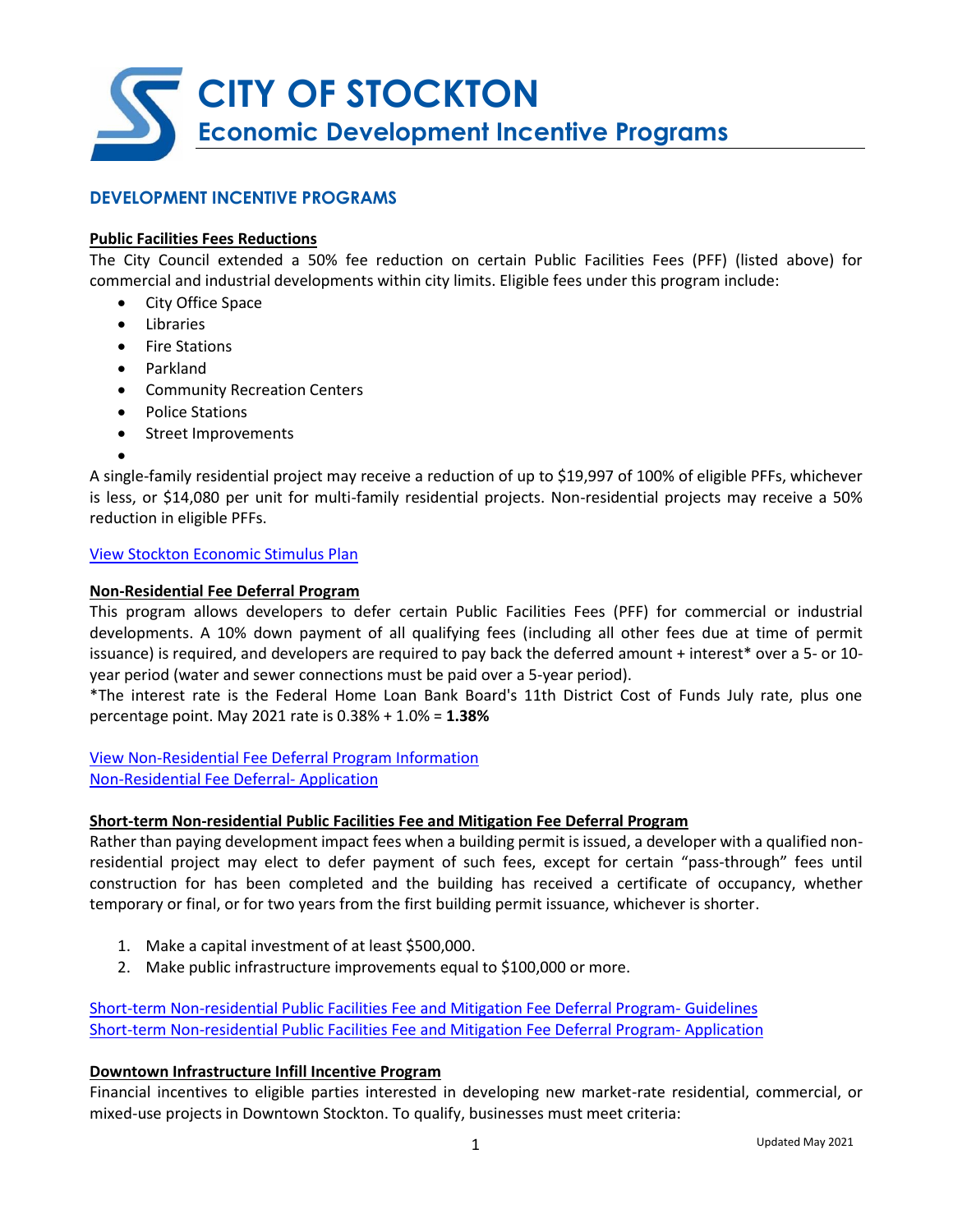

# **DEVELOPMENT INCENTIVE PROGRAMS**

#### **Public Facilities Fees Reductions**

The City Council extended a 50% fee reduction on certain Public Facilities Fees (PFF) (listed above) for commercial and industrial developments within city limits. Eligible fees under this program include:

- City Office Space
- Libraries
- Fire Stations
- Parkland
- Community Recreation Centers
- Police Stations
- Street Improvements
- •

A single-family residential project may receive a reduction of up to \$19,997 of 100% of eligible PFFs, whichever is less, or \$14,080 per unit for multi-family residential projects. Non-residential projects may receive a 50% reduction in eligible PFFs.

#### [View Stockton Economic Stimulus Plan](http://www.stocktongov.com/government/departments/permitCenter/buildSesp.html)

#### **Non-Residential Fee Deferral Program**

This program allows developers to defer certain Public Facilities Fees (PFF) for commercial or industrial developments. A 10% down payment of all qualifying fees (including all other fees due at time of permit issuance) is required, and developers are required to pay back the deferred amount + interest\* over a 5- or 10 year period (water and sewer connections must be paid over a 5-year period).

\*The interest rate is the Federal Home Loan Bank Board's 11th District Cost of Funds July rate, plus one percentage point. May 2021 rate is 0.38% + 1.0% = **1.38%**

[View Non-Residential Fee Deferral Program Information](http://www.stocktonca.gov/files/feedeferral2013.pdf) [Non-Residential Fee Deferral-](http://www.stocktonca.gov/files/Non-residential_fee_deferral_application.pdf) Application

#### **Short-term Non-residential Public Facilities Fee and Mitigation Fee Deferral Program**

Rather than paying development impact fees when a building permit is issued, a developer with a qualified nonresidential project may elect to defer payment of such fees, except for certain "pass-through" fees until construction for has been completed and the building has received a certificate of occupancy, whether temporary or final, or for two years from the first building permit issuance, whichever is shorter.

- 1. Make a capital investment of at least \$500,000.
- 2. Make public infrastructure improvements equal to \$100,000 or more.

[Short-term Non-residential Public Facilities](http://www.stocktongov.com/files/Short-term_Fee_Deferral_Program_Guidelines.pdf) Fee and Mitigation Fee Deferral Program- Guidelines [Short-term Non-residential Public Facilities Fee and Mitigation Fee Deferral Program-](http://www.stocktongov.com/files/Short-term_Fee_Deferral_Application_2017.pdf) Application

#### **Downtown Infrastructure Infill Incentive Program**

Financial incentives to eligible parties interested in developing new market-rate residential, commercial, or mixed-use projects in Downtown Stockton. To qualify, businesses must meet criteria: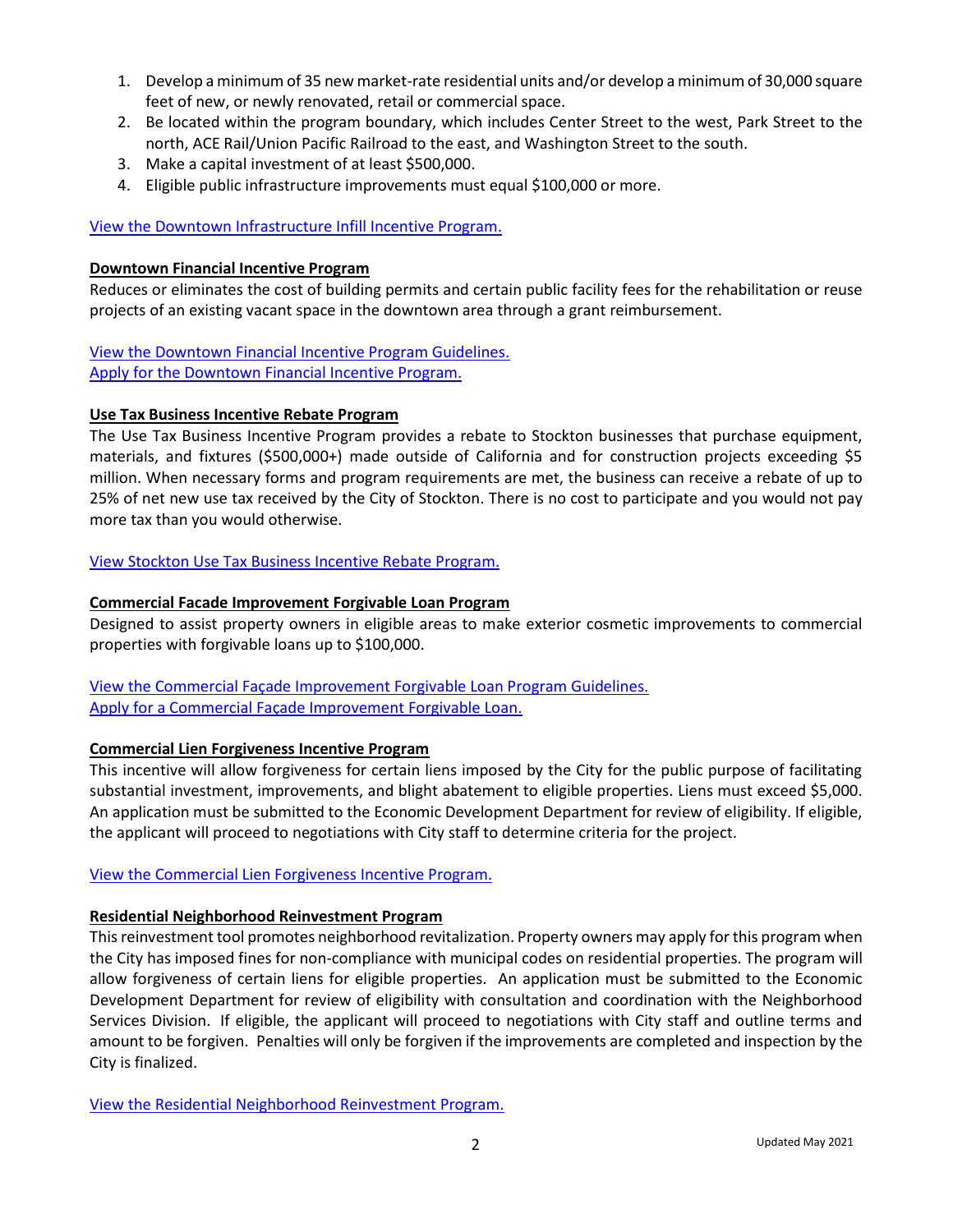- 1. Develop a minimum of 35 new market-rate residential units and/or develop a minimum of 30,000 square feet of new, or newly renovated, retail or commercial space.
- 2. Be located within the program boundary, which includes Center Street to the west, Park Street to the north, ACE Rail/Union Pacific Railroad to the east, and Washington Street to the south.
- 3. Make a capital investment of at least \$500,000.
- 4. Eligible public infrastructure improvements must equal \$100,000 or more.

# [View the Downtown Infrastructure Infill Incentive Program.](http://stocktonca.gov/government/departments/econDev/eDevBusInf.html#:~:text=Downtown%20Infrastructure%20Infill%20Incentive%20Program&text=Develop%20a%20minimum%20of%2035,renovated%2C%20retail%20or%20commercial%20space&text=Eligible%20public%20infrastructure%20improvements%20must%20equal%20%24100%2C000%20or%20more)

# **Downtown Financial Incentive Program**

Reduces or eliminates the cost of building permits and certain public facility fees for the rehabilitation or reuse projects of an existing vacant space in the downtown area through a grant reimbursement.

[View the Downtown Financial Incentive Program Guidelines.](http://www.stocktongov.com/files/DFIP_Program_Guidelines.pdf) [Apply for the Downtown Financial Incentive Program.](https://portal.neighborlysoftware.com/stocktonca/Participant)

# **Use Tax Business Incentive Rebate Program**

The Use Tax Business Incentive Program provides a rebate to Stockton businesses that purchase equipment, materials, and fixtures (\$500,000+) made outside of California and for construction projects exceeding \$5 million. When necessary forms and program requirements are met, the business can receive a rebate of up to 25% of net new use tax received by the City of Stockton. There is no cost to participate and you would not pay more tax than you would otherwise.

# [View Stockton Use Tax Business Incentive Rebate Program.](http://qcode.us/codes/stockton/view.php?topic=3-3_16-3_16_190)

# **Commercial Facade Improvement Forgivable Loan Program**

Designed to assist property owners in eligible areas to make exterior cosmetic improvements to commercial properties with forgivable loans up to \$100,000.

[View the Commercial Façade Improvement Forgivable Loan Program Guidelines.](http://www.stocktonca.gov/files/Facade_Guideline.pdf) [Apply for a Commercial Façade Improvement Forgivable Loan.](https://portal.neighborlysoftware.com/stocktonca/participant)

# **Commercial Lien Forgiveness Incentive Program**

This incentive will allow forgiveness for certain liens imposed by the City for the public purpose of facilitating substantial investment, improvements, and blight abatement to eligible properties. Liens must exceed \$5,000. An application must be submitted to the Economic Development Department for review of eligibility. If eligible, the applicant will proceed to negotiations with City staff to determine criteria for the project.

# [View the Commercial Lien Forgiveness Incentive Program.](http://stocktonca.gov/government/departments/econDev/eDevBusLien.html#:~:text=Commercial%20Lien%20Forgiveness%20Incentive%20Program,blight%20abatement%20to%20eligible%20properties.&text=Liens%20must%20exceed%20%245%2C000)

# **Residential Neighborhood Reinvestment Program**

This reinvestment tool promotes neighborhood revitalization. Property owners may apply for this program when the City has imposed fines for non-compliance with municipal codes on residential properties. The program will allow forgiveness of certain liens for eligible properties. An application must be submitted to the Economic Development Department for review of eligibility with consultation and coordination with the Neighborhood Services Division. If eligible, the applicant will proceed to negotiations with City staff and outline terms and amount to be forgiven. Penalties will only be forgiven if the improvements are completed and inspection by the City is finalized.

[View the Residential Neighborhood Reinvestment Program.](http://stocktonca.gov/government/departments/econDev/eDevBusLien.html#:~:text=Commercial%20Lien%20Forgiveness%20Incentive%20Program,blight%20abatement%20to%20eligible%20properties.&text=Liens%20must%20exceed%20%245%2C000)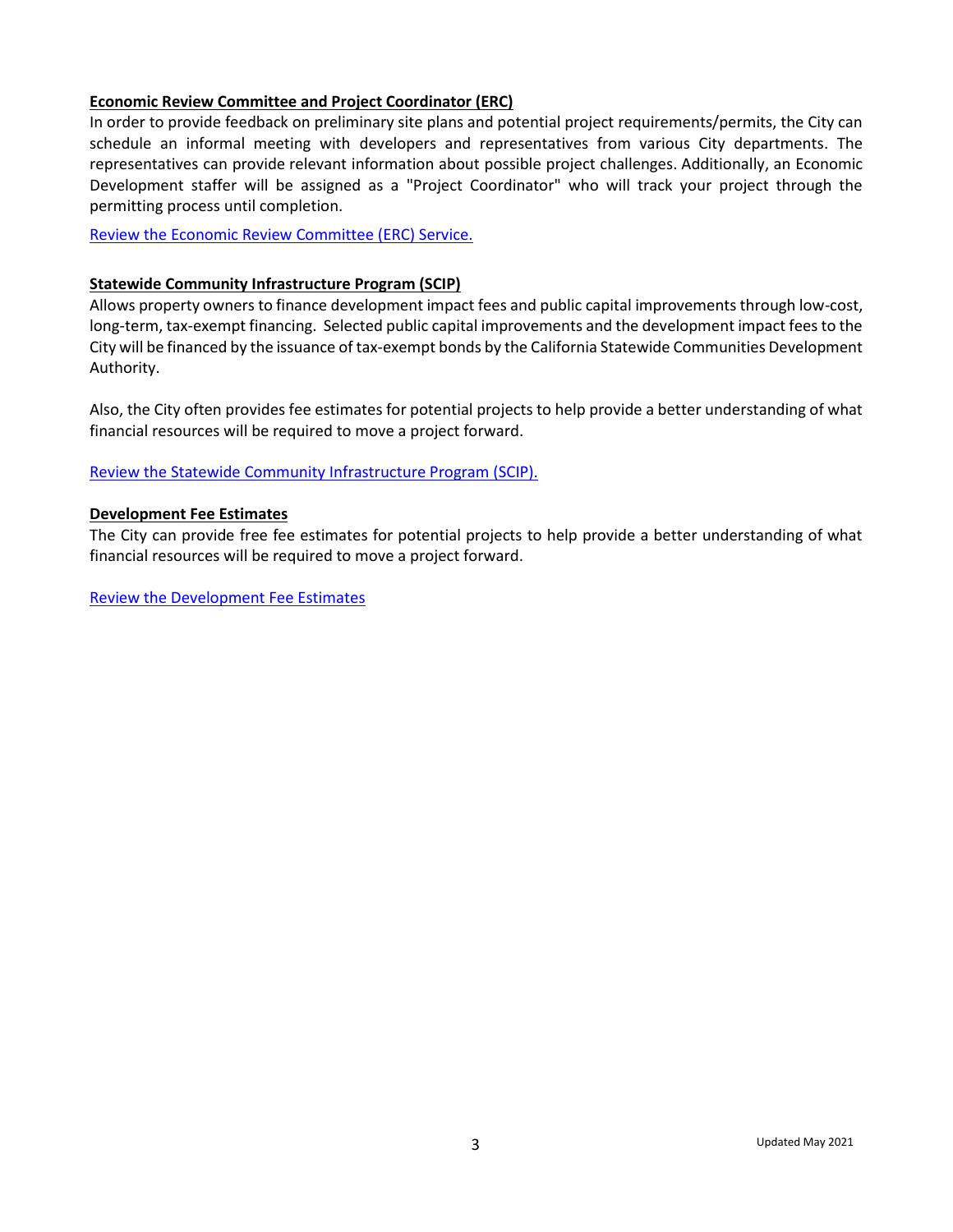# **Economic Review Committee and Project Coordinator (ERC)**

In order to provide feedback on preliminary site plans and potential project requirements/permits, the City can schedule an informal meeting with developers and representatives from various City departments. The representatives can provide relevant information about possible project challenges. Additionally, an Economic Development staffer will be assigned as a "Project Coordinator" who will track your project through the permitting process until completion.

[Review the Economic Review Committee \(ERC\) Service.](http://stocktonca.gov/government/departments/econDev/eDev.html#:~:text=The%20Economic%20Review%20Committee%20is,feedback%20on%20preliminary%20site%20plans.)

# **Statewide Community Infrastructure Program (SCIP)**

Allows property owners to finance development impact fees and public capital improvements through low-cost, long-term, tax-exempt financing. Selected public capital improvements and the development impact fees to the City will be financed by the issuance of tax-exempt bonds by the California Statewide Communities Development Authority.

Also, the City often provides fee estimates for potential projects to help provide a better understanding of what financial resources will be required to move a project forward.

[Review the Statewide Community Infrastructure Program \(SCIP\).](http://www.stocktonca.gov/government/departments/econDev/eDevBusRes.html)

#### **Development Fee Estimates**

The City can provide free fee estimates for potential projects to help provide a better understanding of what financial resources will be required to move a project forward.

[Review the Development Fee Estimates](http://www.stocktonca.gov/government/departments/permitCenter/pvalue.html)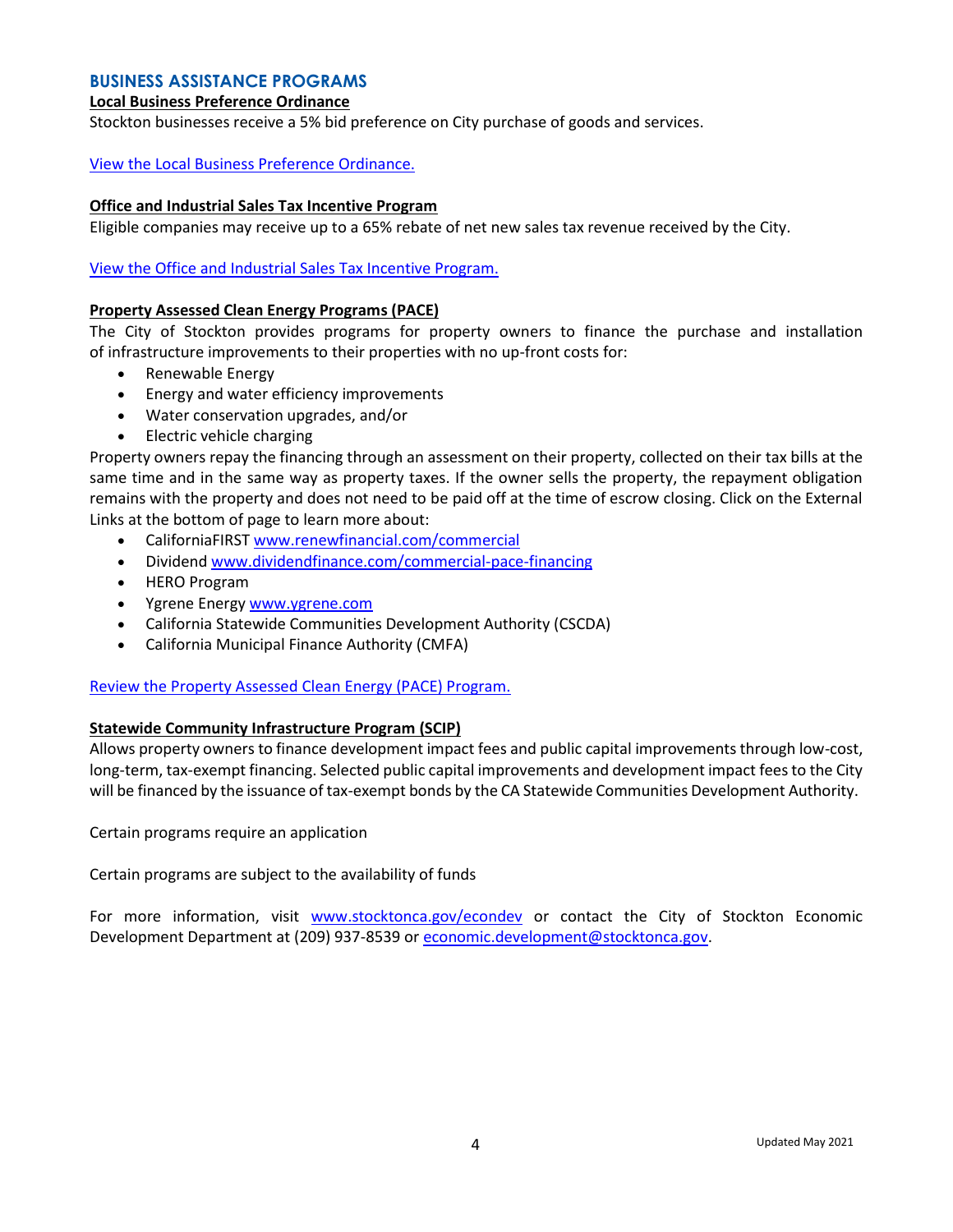# **BUSINESS ASSISTANCE PROGRAMS**

#### **Local Business Preference Ordinance**

Stockton businesses receive a 5% bid preference on City purchase of goods and services.

#### [View the Local Business Preference Ordinance.](https://qcode.us/codes/stockton/view.php?topic=3-3_68-i-3_68_090#:~:text=percent%20bid%20preference.-,Local%20merchants%20who%20have%20a%20physical%20business%20location%20within%20the,(5)%20percent%20bid%20preference.)

#### **Office and Industrial Sales Tax Incentive Program**

Eligible companies may receive up to a 65% rebate of net new sales tax revenue received by the City.

[View the Office and Industrial Sales Tax Incentive Program.](http://www.stocktonca.gov/government/departments/econDev/eDevSalesTax.html)

#### **Property Assessed Clean Energy Programs (PACE)**

The City of Stockton provides programs for property owners to finance the purchase and installation of infrastructure improvements to their properties with no up-front costs for:

- Renewable Energy
- Energy and water efficiency improvements
- Water conservation upgrades, and/or
- Electric vehicle charging

Property owners repay the financing through an assessment on their property, collected on their tax bills at the same time and in the same way as property taxes. If the owner sells the property, the repayment obligation remains with the property and does not need to be paid off at the time of escrow closing. Click on the External Links at the bottom of page to learn more about:

- CaliforniaFIRST [www.renewfinancial.com/commercial](http://www.renewfinancial.com/commercial)
- Dividen[d www.dividendfinance.com/commercial-pace-financing](http://www.dividendfinance.com/commercial-pace-financing)
- HERO Program
- Ygrene Energy [www.ygrene.com](http://www.ygrene.com/)
- California Statewide Communities Development Authority (CSCDA)
- California Municipal Finance Authority (CMFA)

#### [Review the Property Assessed Clean Energy \(PACE\) Program.](http://www.stocktonca.gov/government/departments/econDev/eDevBusRes.html)

#### **Statewide Community Infrastructure Program (SCIP)**

Allows property owners to finance development impact fees and public capital improvements through low-cost, long-term, tax-exempt financing. Selected public capital improvements and development impact fees to the City will be financed by the issuance of tax-exempt bonds by the CA Statewide Communities Development Authority.

Certain programs require an application

Certain programs are subject to the availability of funds

For more information, visit [www.stocktonca.gov/econdev](http://www.stocktonca.gov/econdev) or contact the City of Stockton Economic Development Department at (209) 937-8539 or [economic.development@stocktonca.gov.](mailto:economic.development@stocktonca.gov)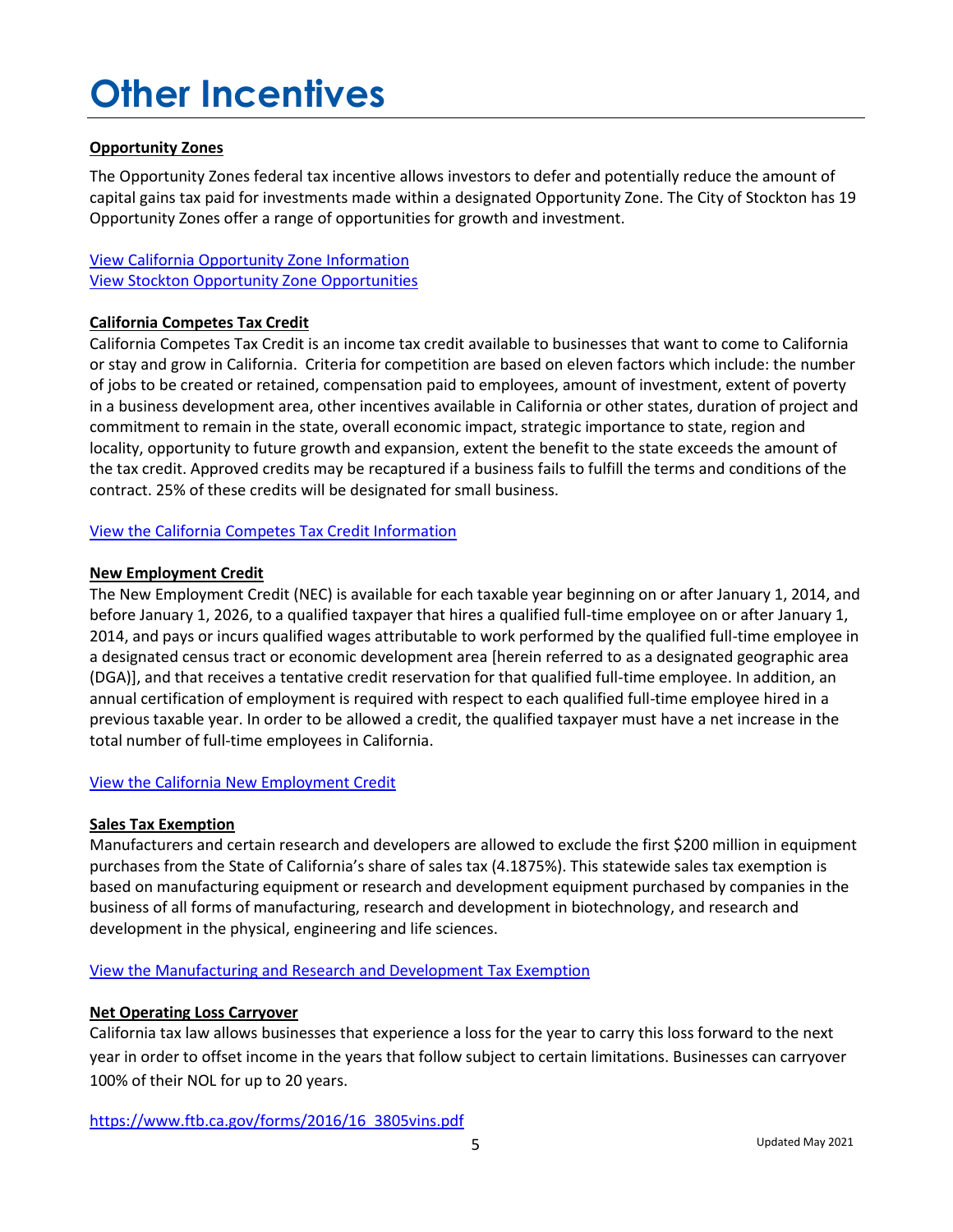# **Other Incentives**

# **Opportunity Zones**

The Opportunity Zones federal tax incentive allows investors to defer and potentially reduce the amount of capital gains tax paid for investments made within a designated Opportunity Zone. The City of Stockton has 19 Opportunity Zones offer a range of opportunities for growth and investment.

View California [Opportunity Zone Information](https://opzones.ca.gov/) [View Stockton Opportunity Zone](http://www.advantagestockton.com/opzones.html) Opportunities

# **California Competes Tax Credit**

California Competes Tax Credit is an income tax credit available to businesses that want to come to California or stay and grow in California. Criteria for competition are based on eleven factors which include: the number of jobs to be created or retained, compensation paid to employees, amount of investment, extent of poverty in a business development area, other incentives available in California or other states, duration of project and commitment to remain in the state, overall economic impact, strategic importance to state, region and locality, opportunity to future growth and expansion, extent the benefit to the state exceeds the amount of the tax credit. Approved credits may be recaptured if a business fails to fulfill the terms and conditions of the contract. 25% of these credits will be designated for small business.

# [View the California Competes Tax Credit Information](https://business.ca.gov/california-competes-tax-credit/)

# **New Employment Credit**

The New Employment Credit (NEC) is available for each taxable year beginning on or after January 1, 2014, and before January 1, 2026, to a qualified taxpayer that hires a qualified full-time employee on or after January 1, 2014, and pays or incurs qualified wages attributable to work performed by the qualified full-time employee in a designated census tract or economic development area [herein referred to as a designated geographic area (DGA)], and that receives a tentative credit reservation for that qualified full-time employee. In addition, an annual certification of employment is required with respect to each qualified full-time employee hired in a previous taxable year. In order to be allowed a credit, the qualified taxpayer must have a net increase in the total number of full-time employees in California.

# [View the California New Employment Credit](https://www.ftb.ca.gov/file/business/credits/new-employment-credit/index.html)

# **Sales Tax Exemption**

Manufacturers and certain research and developers are allowed to exclude the first \$200 million in equipment purchases from the State of California's share of sales tax (4.1875%). This statewide sales tax exemption is based on manufacturing equipment or research and development equipment purchased by companies in the business of all forms of manufacturing, research and development in biotechnology, and research and development in the physical, engineering and life sciences.

# [View the Manufacturing and Research and Development Tax Exemption](https://www.cdtfa.ca.gov/industry/manufacturing-exemptions.htm)

#### **Net Operating Loss Carryover**

California tax law allows businesses that experience a loss for the year to carry this loss forward to the next year in order to offset income in the years that follow subject to certain limitations. Businesses can carryover 100% of their NOL for up to 20 years.

[https://www.ftb.ca.gov/forms/2016/16\\_3805vins.pdf](https://www.ftb.ca.gov/forms/2016/16_3805vins.pdf)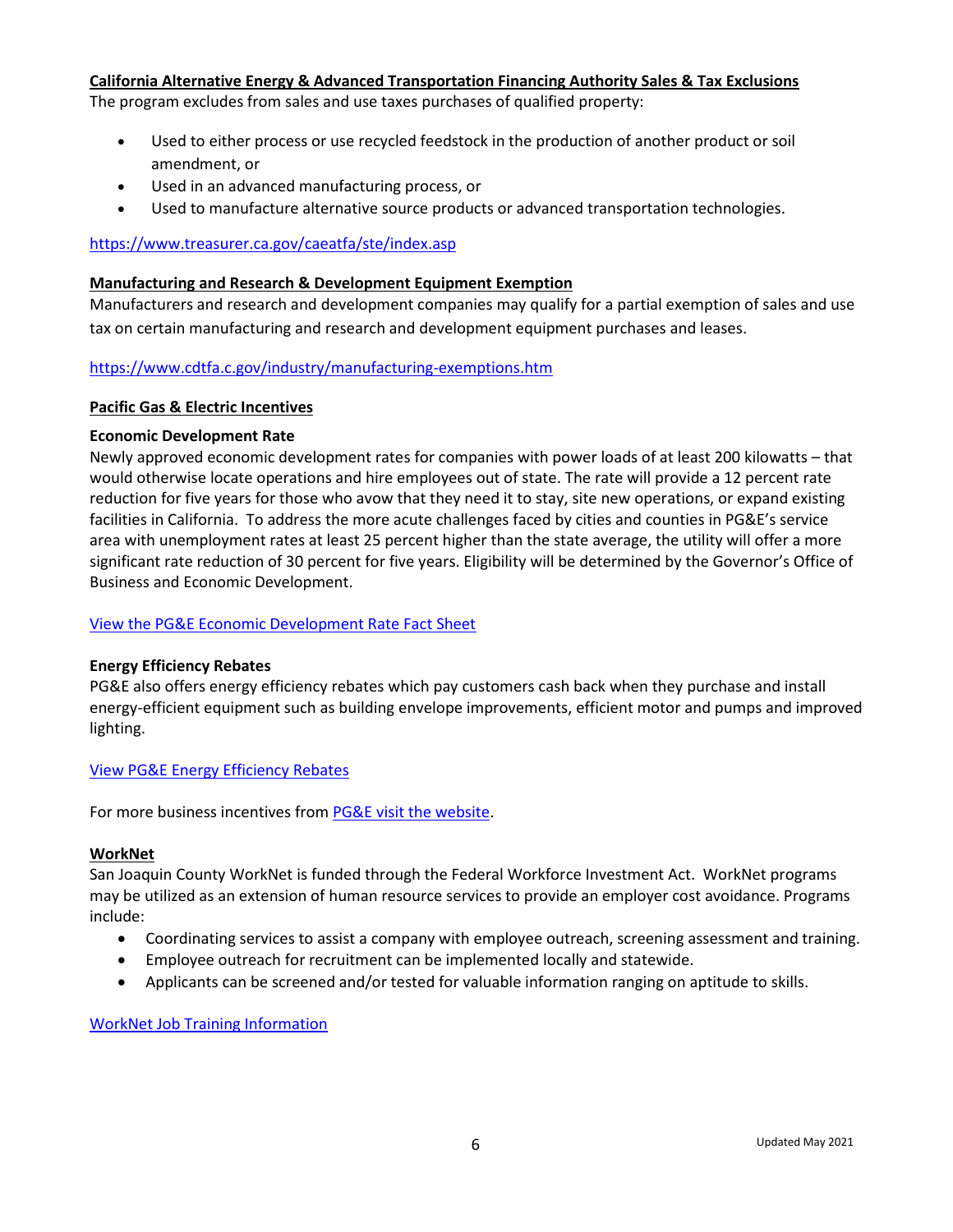# **California Alternative Energy & Advanced Transportation Financing Authority Sales & Tax Exclusions**

The program excludes from sales and use taxes purchases of qualified property:

- Used to either process or use recycled feedstock in the production of another product or soil amendment, or
- Used in an advanced manufacturing process, or
- Used to manufacture alternative source products or advanced transportation technologies.

# <https://www.treasurer.ca.gov/caeatfa/ste/index.asp>

#### **Manufacturing and Research & Development Equipment Exemption**

Manufacturers and research and development companies may qualify for a partial exemption of sales and use tax on certain manufacturing and research and development equipment purchases and leases.

# [https://www.cdtfa.c.gov/industry/manufacturing-exemptions.htm](https://www.cdtfa.ca.gov/industry/manufacturing-exemptions.htm)

#### **Pacific Gas & Electric Incentives**

#### **Economic Development Rate**

Newly approved economic development rates for companies with power loads of at least 200 kilowatts – that would otherwise locate operations and hire employees out of state. The rate will provide a 12 percent rate reduction for five years for those who avow that they need it to stay, site new operations, or expand existing facilities in California. To address the more acute challenges faced by cities and counties in PG&E's service area with unemployment rates at least 25 percent higher than the state average, the utility will offer a more significant rate reduction of 30 percent for five years. Eligibility will be determined by the Governor's Office of Business and Economic Development.

# [View the PG&E Economic Development Rate Fact Sheet](https://www.pge.com/includes/docs/pdfs/mybusiness/energysavingsrebates/economicdevelopment/factsheet/ed-rate_incentive_v4.pdf)

# **Energy Efficiency Rebates**

PG&E also offers energy efficiency rebates which pay customers cash back when they purchase and install energy-efficient equipment such as building envelope improvements, efficient motor and pumps and improved lighting.

#### [View PG&E Energy Efficiency Rebates](https://www.pge.com/en_US/large-business/save-energy-and-money/facility-improvement/custom-retrofit.page)

For more business incentives from [PG&E visit the website.](https://www.pge.com/en_US/business/save-energy-money/business-solutions-and-rebates/savings-by-industry/savings-by-industry.page)

#### **WorkNet**

San Joaquin County WorkNet is funded through the Federal Workforce Investment Act. WorkNet programs may be utilized as an extension of human resource services to provide an employer cost avoidance. Programs include:

- Coordinating services to assist a company with employee outreach, screening assessment and training.
- Employee outreach for recruitment can be implemented locally and statewide.
- Applicants can be screened and/or tested for valuable information ranging on aptitude to skills.

#### WorkNet [Job Training Information](http://www.sjcworknet.org/job-training.asp)